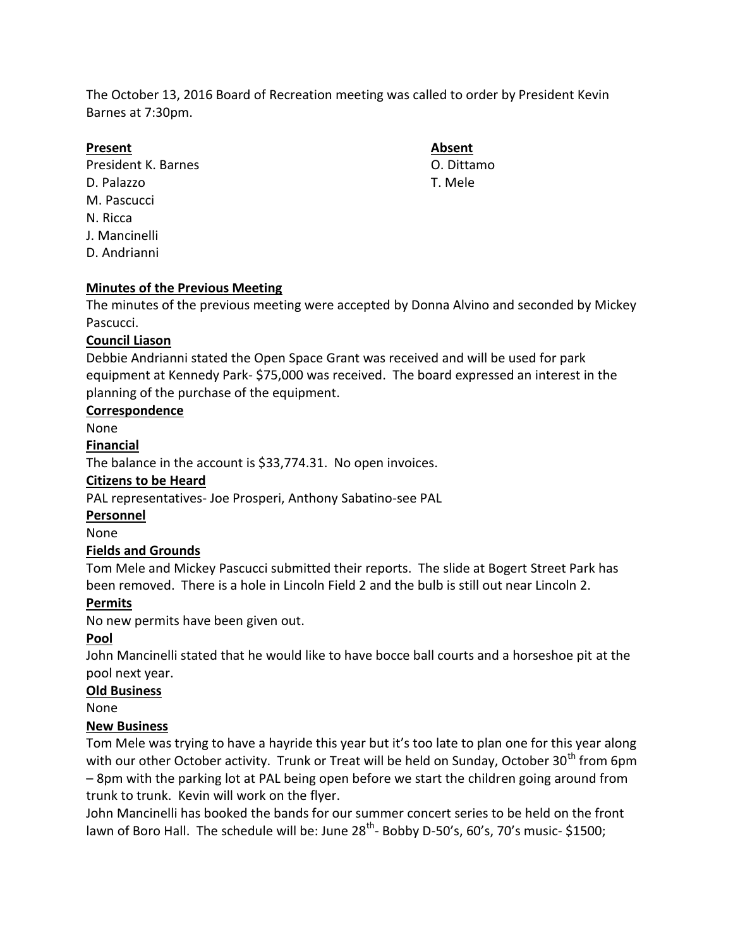The October 13, 2016 Board of Recreation meeting was called to order by President Kevin Barnes at 7:30pm.

#### **Present Absent**

President K. Barnes C. Dittamo D. Palazzo T. Mele M. Pascucci N. Ricca J. Mancinelli D. Andrianni

# **Minutes of the Previous Meeting**

The minutes of the previous meeting were accepted by Donna Alvino and seconded by Mickey Pascucci.

## **Council Liason**

Debbie Andrianni stated the Open Space Grant was received and will be used for park equipment at Kennedy Park- \$75,000 was received. The board expressed an interest in the planning of the purchase of the equipment.

#### **Correspondence**

None

#### **Financial**

The balance in the account is \$33,774.31. No open invoices.

#### **Citizens to be Heard**

PAL representatives- Joe Prosperi, Anthony Sabatino-see PAL

#### **Personnel**

None

## **Fields and Grounds**

Tom Mele and Mickey Pascucci submitted their reports. The slide at Bogert Street Park has been removed. There is a hole in Lincoln Field 2 and the bulb is still out near Lincoln 2.

## **Permits**

No new permits have been given out.

## **Pool**

John Mancinelli stated that he would like to have bocce ball courts and a horseshoe pit at the pool next year.

## **Old Business**

None

## **New Business**

Tom Mele was trying to have a hayride this year but it's too late to plan one for this year along with our other October activity. Trunk or Treat will be held on Sunday, October 30<sup>th</sup> from 6pm – 8pm with the parking lot at PAL being open before we start the children going around from trunk to trunk. Kevin will work on the flyer.

John Mancinelli has booked the bands for our summer concert series to be held on the front lawn of Boro Hall. The schedule will be: June 28<sup>th</sup>- Bobby D-50's, 60's, 70's music- \$1500;